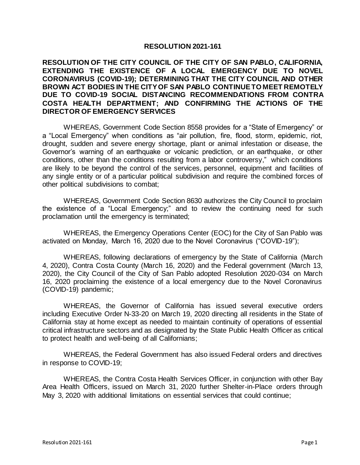## **RESOLUTION 2021-161**

## **RESOLUTION OF THE CITY COUNCIL OF THE CITY OF SAN PABLO, CALIFORNIA, EXTENDING THE EXISTENCE OF A LOCAL EMERGENCY DUE TO NOVEL CORONAVIRUS (COVID-19); DETERMINING THAT THE CITY COUNCIL AND OTHER BROWN ACT BODIES IN THE CITY OF SAN PABLO CONTINUE TO MEET REMOTELY DUE TO COVID-19 SOCIAL DISTANCING RECOMMENDATIONS FROM CONTRA COSTA HEALTH DEPARTMENT; AND CONFIRMING THE ACTIONS OF THE DIRECTOR OF EMERGENCY SERVICES**

WHEREAS, Government Code Section 8558 provides for a "State of Emergency" or a "Local Emergency" when conditions as "air pollution, fire, flood, storm, epidemic, riot, drought, sudden and severe energy shortage, plant or animal infestation or disease, the Governor's warning of an earthquake or volcanic prediction, or an earthquake, or other conditions, other than the conditions resulting from a labor controversy," which conditions are likely to be beyond the control of the services, personnel, equipment and facilities of any single entity or of a particular political subdivision and require the combined forces of other political subdivisions to combat;

WHEREAS, Government Code Section 8630 authorizes the City Council to proclaim the existence of a "Local Emergency;" and to review the continuing need for such proclamation until the emergency is terminated;

WHEREAS, the Emergency Operations Center (EOC) for the City of San Pablo was activated on Monday, March 16, 2020 due to the Novel Coronavirus ("COVID-19");

WHEREAS, following declarations of emergency by the State of California (March 4, 2020), Contra Costa County (March 16, 2020) and the Federal government (March 13, 2020), the City Council of the City of San Pablo adopted Resolution 2020-034 on March 16, 2020 proclaiming the existence of a local emergency due to the Novel Coronavirus (COVID-19) pandemic;

WHEREAS, the Governor of California has issued several executive orders including Executive Order N-33-20 on March 19, 2020 directing all residents in the State of California stay at home except as needed to maintain continuity of operations of essential critical infrastructure sectors and as designated by the State Public Health Officer as critical to protect health and well-being of all Californians;

WHEREAS, the Federal Government has also issued Federal orders and directives in response to COVID-19;

WHEREAS, the Contra Costa Health Services Officer, in conjunction with other Bay Area Health Officers, issued on March 31, 2020 further Shelter-in-Place orders through May 3, 2020 with additional limitations on essential services that could continue;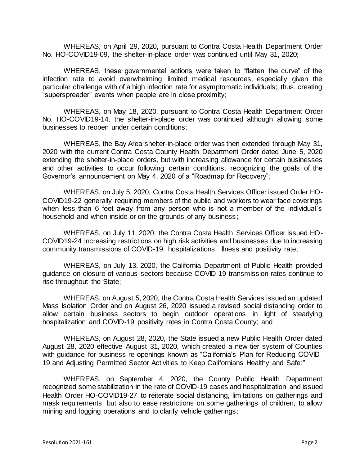WHEREAS, on April 29, 2020, pursuant to Contra Costa Health Department Order No. HO-COVID19-09, the shelter-in-place order was continued until May 31, 2020;

WHEREAS, these governmental actions were taken to "flatten the curve" of the infection rate to avoid overwhelming limited medical resources, especially given the particular challenge with of a high infection rate for asymptomatic individuals; thus, creating "superspreader" events when people are in close proximity;

WHEREAS, on May 18, 2020, pursuant to Contra Costa Health Department Order No. HO-COVID19-14, the shelter-in-place order was continued although allowing some businesses to reopen under certain conditions;

WHEREAS, the Bay Area shelter-in-place order was then extended through May 31, 2020 with the current Contra Costa County Health Department Order dated June 5, 2020 extending the shelter-in-place orders, but with increasing allowance for certain businesses and other activities to occur following certain conditions, recognizing the goals of the Governor's announcement on May 4, 2020 of a "Roadmap for Recovery";

WHEREAS, on July 5, 2020, Contra Costa Health Services Officer issued Order HO-COVID19-22 generally requiring members of the public and workers to wear face coverings when less than 6 feet away from any person who is not a member of the individual's household and when inside or on the grounds of any business;

WHEREAS, on July 11, 2020, the Contra Costa Health Services Officer issued HO-COVID19-24 increasing restrictions on high risk activities and businesses due to increasing community transmissions of COVID-19, hospitalizations, illness and positivity rate;

WHEREAS, on July 13, 2020, the California Department of Public Health provided guidance on closure of various sectors because COVID-19 transmission rates continue to rise throughout the State;

WHEREAS, on August 5, 2020, the Contra Costa Health Services issued an updated Mass Isolation Order and on August 26, 2020 issued a revised social distancing order to allow certain business sectors to begin outdoor operations in light of steadying hospitalization and COVID-19 positivity rates in Contra Costa County; and

WHEREAS, on August 28, 2020, the State issued a new Public Health Order dated August 28, 2020 effective August 31, 2020, which created a new tier system of Counties with guidance for business re-openings known as "California's Plan for Reducing COVID-19 and Adjusting Permitted Sector Activities to Keep Californians Healthy and Safe;"

WHEREAS, on September 4, 2020, the County Public Health Department recognized some stabilization in the rate of COVID-19 cases and hospitalization and issued Health Order HO-COVID19-27 to reiterate social distancing, limitations on gatherings and mask requirements, but also to ease restrictions on some gatherings of children, to allow mining and logging operations and to clarify vehicle gatherings;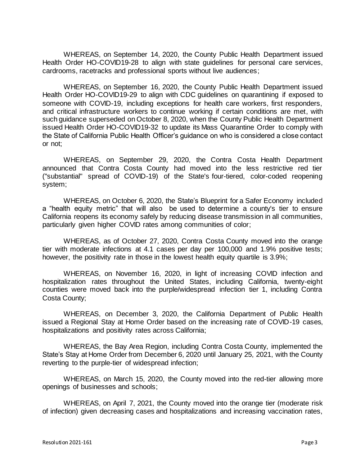WHEREAS, on September 14, 2020, the County Public Health Department issued Health Order HO-COVID19-28 to align with state guidelines for personal care services, cardrooms, racetracks and professional sports without live audiences;

WHEREAS, on September 16, 2020, the County Public Health Department issued Health Order HO-COVID19-29 to align with CDC guidelines on quarantining if exposed to someone with COVID-19, including exceptions for health care workers, first responders, and critical infrastructure workers to continue working if certain conditions are met, with such guidance superseded on October 8, 2020, when the County Public Health Department issued Health Order HO-COVID19-32 to update its Mass Quarantine Order to comply with the State of California Public Health Officer's guidance on who is considered a close contact or not;

WHEREAS, on September 29, 2020, the Contra Costa Health Department announced that Contra Costa County had moved into the less restrictive red tier ("substantial" spread of COVID-19) of the State's [four-tiered, color-coded reopening](https://covid19.ca.gov/safer-economy/)  [system;](https://covid19.ca.gov/safer-economy/)

WHEREAS, on October 6, 2020, the State's [Blueprint for a Safer Economy](https://www.cdph.ca.gov/Programs/CID/DCDC/Pages/COVID-19/COVID19CountyMonitoringOverview.aspx) included a "health equity metric" that will also be used to determine a county's tier to ensure California reopens its economy safely by reducing disease transmission in all communities, particularly given higher COVID rates among communities of color;

WHEREAS, as of October 27, 2020, Contra Costa County moved into the orange tier with moderate infections at 4.1 cases per day per 100,000 and 1.9% positive tests; however, the positivity rate in those in the lowest health equity quartile is 3.9%;

WHEREAS, on November 16, 2020, in light of increasing COVID infection and hospitalization rates throughout the United States, including California, twenty-eight counties were moved back into the purple/widespread infection tier 1, including Contra Costa County;

WHEREAS, on December 3, 2020, the California Department of Public Health issued a Regional Stay at Home Order based on the increasing rate of COVID-19 cases, hospitalizations and positivity rates across California;

WHEREAS, the Bay Area Region, including Contra Costa County, implemented the State's Stay at Home Order from December 6, 2020 until January 25, 2021, with the County reverting to the purple-tier of widespread infection;

WHEREAS, on March 15, 2020, the County moved into the red-tier allowing more openings of businesses and schools;

WHEREAS, on April 7, 2021, the County moved into the orange tier (moderate risk of infection) given decreasing cases and hospitalizations and increasing vaccination rates,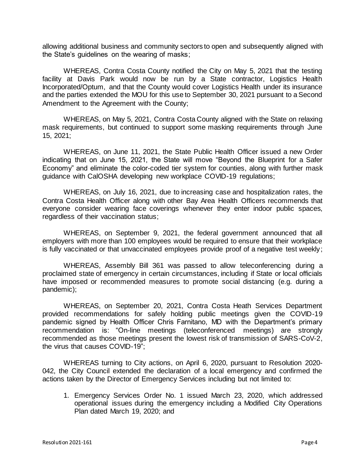allowing additional business and community sectors to open and subsequently aligned with the State's guidelines on the wearing of masks;

WHEREAS, Contra Costa County notified the City on May 5, 2021 that the testing facility at Davis Park would now be run by a State contractor, Logistics Health Incorporated/Optum, and that the County would cover Logistics Health under its insurance and the parties extended the MOU for this use to September 30, 2021 pursuant to a Second Amendment to the Agreement with the County;

WHEREAS, on May 5, 2021, Contra Costa County aligned with the State on relaxing mask requirements, but continued to support some masking requirements through June 15, 2021;

WHEREAS, on June 11, 2021, the State Public Health Officer issued a new Order indicating that on June 15, 2021, the State will move "Beyond the Blueprint for a Safer Economy" and eliminate the color-coded tier system for counties, along with further mask guidance with CalOSHA developing new workplace COVID-19 regulations;

WHEREAS, on July 16, 2021, due to increasing case and hospitalization rates, the Contra Costa Health Officer along with other Bay Area Health Officers recommends that everyone consider wearing face coverings whenever they enter indoor public spaces, regardless of their vaccination status;

WHEREAS, on September 9, 2021, the federal government announced that all employers with more than 100 employees would be required to ensure that their workplace is fully vaccinated or that unvaccinated employees provide proof of a negative test weekly;

WHEREAS, Assembly Bill 361 was passed to allow teleconferencing during a proclaimed state of emergency in certain circumstances, including if State or local officials have imposed or recommended measures to promote social distancing (e.g. during a pandemic);

WHEREAS, on September 20, 2021, Contra Costa Heath Services Department provided recommendations for safely holding public meetings given the COVID-19 pandemic signed by Health Officer Chris Farnitano, MD with the Department's primary recommendation is: "On-line meetings (teleconferenced meetings) are strongly recommended as those meetings present the lowest risk of transmission of SARS-CoV-2, the virus that causes COVID-19";

WHEREAS turning to City actions, on April 6, 2020, pursuant to Resolution 2020- 042, the City Council extended the declaration of a local emergency and confirmed the actions taken by the Director of Emergency Services including but not limited to:

1. Emergency Services Order No. 1 issued March 23, 2020, which addressed operational issues during the emergency including a Modified City Operations Plan dated March 19, 2020; and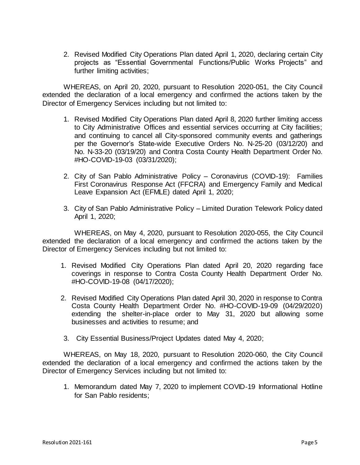2. Revised Modified City Operations Plan dated April 1, 2020, declaring certain City projects as "Essential Governmental Functions/Public Works Projects" and further limiting activities;

WHEREAS, on April 20, 2020, pursuant to Resolution 2020-051, the City Council extended the declaration of a local emergency and confirmed the actions taken by the Director of Emergency Services including but not limited to:

- 1. Revised Modified City Operations Plan dated April 8, 2020 further limiting access to City Administrative Offices and essential services occurring at City facilities; and continuing to cancel all City-sponsored community events and gatherings per the Governor's State-wide Executive Orders No. N-25-20 (03/12/20) and No. N-33-20 (03/19/20) and Contra Costa County Health Department Order No. #HO-COVID-19-03 (03/31/2020);
- 2. City of San Pablo Administrative Policy Coronavirus (COVID-19): Families First Coronavirus Response Act (FFCRA) and Emergency Family and Medical Leave Expansion Act (EFMLE) dated April 1, 2020;
- 3. City of San Pablo Administrative Policy Limited Duration Telework Policy dated April 1, 2020;

WHEREAS, on May 4, 2020, pursuant to Resolution 2020-055, the City Council extended the declaration of a local emergency and confirmed the actions taken by the Director of Emergency Services including but not limited to:

- 1. Revised Modified City Operations Plan dated April 20, 2020 regarding face coverings in response to Contra Costa County Health Department Order No. #HO-COVID-19-08 (04/17/2020);
- 2. Revised Modified City Operations Plan dated April 30, 2020 in response to Contra Costa County Health Department Order No. #HO-COVID-19-09 (04/29/2020) extending the shelter-in-place order to May 31, 2020 but allowing some businesses and activities to resume; and
- 3. City Essential Business/Project Updates dated May 4, 2020;

WHEREAS, on May 18, 2020, pursuant to Resolution 2020-060, the City Council extended the declaration of a local emergency and confirmed the actions taken by the Director of Emergency Services including but not limited to:

1. Memorandum dated May 7, 2020 to implement COVID-19 Informational Hotline for San Pablo residents;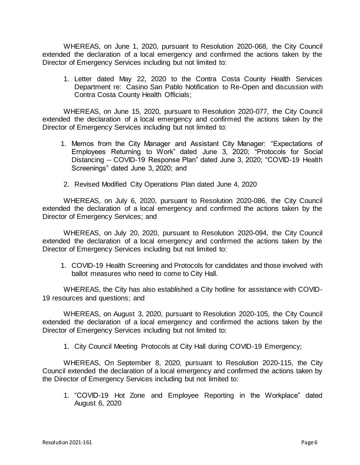WHEREAS, on June 1, 2020, pursuant to Resolution 2020-068, the City Council extended the declaration of a local emergency and confirmed the actions taken by the Director of Emergency Services including but not limited to:

1. Letter dated May 22, 2020 to the Contra Costa County Health Services Department re: Casino San Pablo Notification to Re-Open and discussion with Contra Costa County Health Officials;

WHEREAS, on June 15, 2020, pursuant to Resolution 2020-077, the City Council extended the declaration of a local emergency and confirmed the actions taken by the Director of Emergency Services including but not limited to:

- 1. Memos from the City Manager and Assistant City Manager: "Expectations of Employees Returning to Work" dated June 3, 2020; "Protocols for Social Distancing -- COVID-19 Response Plan" dated June 3, 2020; "COVID-19 Health Screenings" dated June 3, 2020; and
- 2. Revised Modified City Operations Plan dated June 4, 2020

WHEREAS, on July 6, 2020, pursuant to Resolution 2020-086, the City Council extended the declaration of a local emergency and confirmed the actions taken by the Director of Emergency Services; and

WHEREAS, on July 20, 2020, pursuant to Resolution 2020-094, the City Council extended the declaration of a local emergency and confirmed the actions taken by the Director of Emergency Services including but not limited to:

1. COVID-19 Health Screening and Protocols for candidates and those involved with ballot measures who need to come to City Hall.

WHEREAS, the City has also established a City hotline for assistance with COVID-19 resources and questions; and

WHEREAS, on August 3, 2020, pursuant to Resolution 2020-105, the City Council extended the declaration of a local emergency and confirmed the actions taken by the Director of Emergency Services including but not limited to:

1. City Council Meeting Protocols at City Hall during COVID-19 Emergency;

WHEREAS, On September 8, 2020, pursuant to Resolution 2020-115, the City Council extended the declaration of a local emergency and confirmed the actions taken by the Director of Emergency Services including but not limited to:

1. "COVID-19 Hot Zone and Employee Reporting in the Workplace" dated August 6, 2020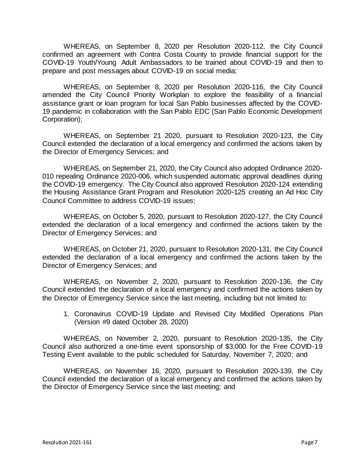WHEREAS, on September 8, 2020 per Resolution 2020-112, the City Council confirmed an agreement with Contra Costa County to provide financial support for the COVID-19 Youth/Young Adult Ambassadors to be trained about COVID-19 and then to prepare and post messages about COVID-19 on social media;

WHEREAS, on September 8, 2020 per Resolution 2020-116, the City Council amended the City Council Priority Workplan to explore the feasibility of a financial assistance grant or loan program for local San Pablo businesses affected by the COVID-19 pandemic in collaboration with the San Pablo EDC (San Pablo Economic Development Corporation);

WHEREAS, on September 21 2020, pursuant to Resolution 2020-123, the City Council extended the declaration of a local emergency and confirmed the actions taken by the Director of Emergency Services; and

WHEREAS, on September 21, 2020, the City Council also adopted Ordinance 2020- 010 repealing Ordinance 2020-006, which suspended automatic approval deadlines during the COVID-19 emergency. The City Council also approved Resolution 2020-124 extending the Housing Assistance Grant Program and Resolution 2020-125 creating an Ad Hoc City Council Committee to address COVID-19 issues;

WHEREAS, on October 5, 2020, pursuant to Resolution 2020-127, the City Council extended the declaration of a local emergency and confirmed the actions taken by the Director of Emergency Services; and

WHEREAS, on October 21, 2020, pursuant to Resolution 2020-131, the City Council extended the declaration of a local emergency and confirmed the actions taken by the Director of Emergency Services; and

WHEREAS, on November 2, 2020, pursuant to Resolution 2020-136, the City Council extended the declaration of a local emergency and confirmed the actions taken by the Director of Emergency Service since the last meeting, including but not limited to:

1. Coronavirus COVID-19 Update and Revised City Modified Operations Plan (Version #9 dated October 28, 2020)

WHEREAS, on November 2, 2020, pursuant to Resolution 2020-135, the City Council also authorized a one-time event sponsorship of \$3,000 for the Free COVID-19 Testing Event available to the public scheduled for Saturday, November 7, 2020; and

WHEREAS, on November 16, 2020, pursuant to Resolution 2020-139, the City Council extended the declaration of a local emergency and confirmed the actions taken by the Director of Emergency Service since the last meeting; and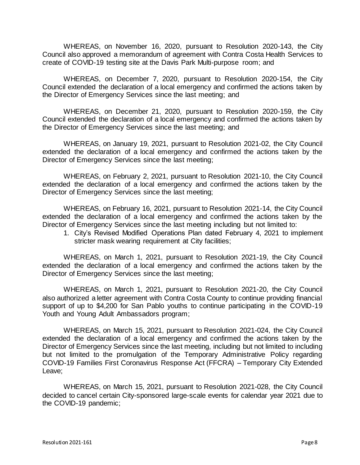WHEREAS, on November 16, 2020, pursuant to Resolution 2020-143, the City Council also approved a memorandum of agreement with Contra Costa Health Services to create of COVID-19 testing site at the Davis Park Multi-purpose room; and

WHEREAS, on December 7, 2020, pursuant to Resolution 2020-154, the City Council extended the declaration of a local emergency and confirmed the actions taken by the Director of Emergency Services since the last meeting; and

WHEREAS, on December 21, 2020, pursuant to Resolution 2020-159, the City Council extended the declaration of a local emergency and confirmed the actions taken by the Director of Emergency Services since the last meeting; and

WHEREAS, on January 19, 2021, pursuant to Resolution 2021-02, the City Council extended the declaration of a local emergency and confirmed the actions taken by the Director of Emergency Services since the last meeting;

WHEREAS, on February 2, 2021, pursuant to Resolution 2021-10, the City Council extended the declaration of a local emergency and confirmed the actions taken by the Director of Emergency Services since the last meeting;

WHEREAS, on February 16, 2021, pursuant to Resolution 2021-14, the City Council extended the declaration of a local emergency and confirmed the actions taken by the Director of Emergency Services since the last meeting including but not limited to:

1. City's Revised Modified Operations Plan dated February 4, 2021 to implement stricter mask wearing requirement at City facilities;

WHEREAS, on March 1, 2021, pursuant to Resolution 2021-19, the City Council extended the declaration of a local emergency and confirmed the actions taken by the Director of Emergency Services since the last meeting;

WHEREAS, on March 1, 2021, pursuant to Resolution 2021-20, the City Council also authorized a letter agreement with Contra Costa County to continue providing financial support of up to \$4,200 for San Pablo youths to continue participating in the COVID-19 Youth and Young Adult Ambassadors program;

WHEREAS, on March 15, 2021, pursuant to Resolution 2021-024, the City Council extended the declaration of a local emergency and confirmed the actions taken by the Director of Emergency Services since the last meeting, including but not limited to including but not limited to the promulgation of the Temporary Administrative Policy regarding COVID-19 Families First Coronavirus Response Act (FFCRA) – Temporary City Extended Leave;

WHEREAS, on March 15, 2021, pursuant to Resolution 2021-028, the City Council decided to cancel certain City-sponsored large-scale events for calendar year 2021 due to the COVID-19 pandemic;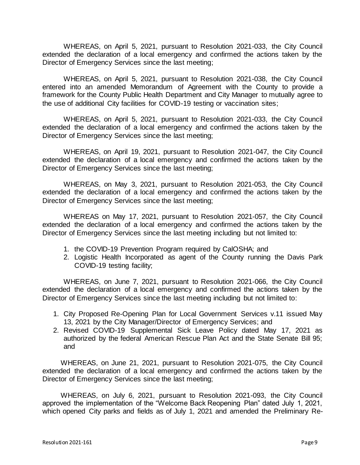WHEREAS, on April 5, 2021, pursuant to Resolution 2021-033, the City Council extended the declaration of a local emergency and confirmed the actions taken by the Director of Emergency Services since the last meeting;

WHEREAS, on April 5, 2021, pursuant to Resolution 2021-038, the City Council entered into an amended Memorandum of Agreement with the County to provide a framework for the County Public Health Department and City Manager to mutually agree to the use of additional City facilities for COVID-19 testing or vaccination sites;

WHEREAS, on April 5, 2021, pursuant to Resolution 2021-033, the City Council extended the declaration of a local emergency and confirmed the actions taken by the Director of Emergency Services since the last meeting;

WHEREAS, on April 19, 2021, pursuant to Resolution 2021-047, the City Council extended the declaration of a local emergency and confirmed the actions taken by the Director of Emergency Services since the last meeting;

WHEREAS, on May 3, 2021, pursuant to Resolution 2021-053, the City Council extended the declaration of a local emergency and confirmed the actions taken by the Director of Emergency Services since the last meeting;

WHEREAS on May 17, 2021, pursuant to Resolution 2021-057, the City Council extended the declaration of a local emergency and confirmed the actions taken by the Director of Emergency Services since the last meeting including but not limited to:

- 1. the COVID-19 Prevention Program required by CalOSHA; and
- 2. Logistic Health Incorporated as agent of the County running the Davis Park COVID-19 testing facility;

WHEREAS, on June 7, 2021, pursuant to Resolution 2021-066, the City Council extended the declaration of a local emergency and confirmed the actions taken by the Director of Emergency Services since the last meeting including but not limited to:

- 1. City Proposed Re-Opening Plan for Local Government Services v.11 issued May 13, 2021 by the City Manager/Director of Emergency Services; and
- 2. Revised COVID-19 Supplemental Sick Leave Policy dated May 17, 2021 as authorized by the federal American Rescue Plan Act and the State Senate Bill 95; and

WHEREAS, on June 21, 2021, pursuant to Resolution 2021-075, the City Council extended the declaration of a local emergency and confirmed the actions taken by the Director of Emergency Services since the last meeting;

WHEREAS, on July 6, 2021, pursuant to Resolution 2021-093, the City Council approved the implementation of the "Welcome Back Reopening Plan" dated July 1, 2021, which opened City parks and fields as of July 1, 2021 and amended the Preliminary Re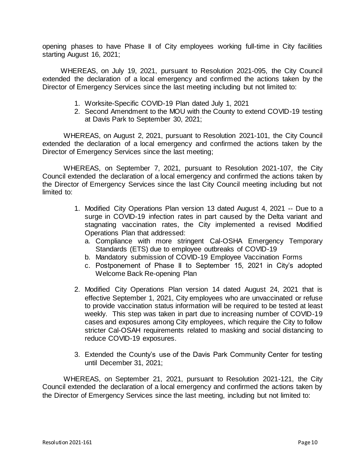opening phases to have Phase II of City employees working full-time in City facilities starting August 16, 2021;

WHEREAS, on July 19, 2021, pursuant to Resolution 2021-095, the City Council extended the declaration of a local emergency and confirmed the actions taken by the Director of Emergency Services since the last meeting including but not limited to:

- 1. Worksite-Specific COVID-19 Plan dated July 1, 2021
- 2. Second Amendment to the MOU with the County to extend COVID-19 testing at Davis Park to September 30, 2021;

WHEREAS, on August 2, 2021, pursuant to Resolution 2021-101, the City Council extended the declaration of a local emergency and confirmed the actions taken by the Director of Emergency Services since the last meeting;

WHEREAS, on September 7, 2021, pursuant to Resolution 2021-107, the City Council extended the declaration of a local emergency and confirmed the actions taken by the Director of Emergency Services since the last City Council meeting including but not limited to:

- 1. Modified City Operations Plan version 13 dated August 4, 2021 -- Due to a surge in COVID-19 infection rates in part caused by the Delta variant and stagnating vaccination rates, the City implemented a revised Modified Operations Plan that addressed:
	- a. Compliance with more stringent Cal-OSHA Emergency Temporary Standards (ETS) due to employee outbreaks of COVID-19
	- b. Mandatory submission of COVID-19 Employee Vaccination Forms
	- c. Postponement of Phase II to September 15, 2021 in City's adopted Welcome Back Re-opening Plan
- 2. Modified City Operations Plan version 14 dated August 24, 2021 that is effective September 1, 2021, City employees who are unvaccinated or refuse to provide vaccination status information will be required to be tested at least weekly. This step was taken in part due to increasing number of COVID-19 cases and exposures among City employees, which require the City to follow stricter Cal-OSAH requirements related to masking and social distancing to reduce COVID-19 exposures.
- 3. Extended the County's use of the Davis Park Community Center for testing until December 31, 2021;

WHEREAS, on September 21, 2021, pursuant to Resolution 2021-121, the City Council extended the declaration of a local emergency and confirmed the actions taken by the Director of Emergency Services since the last meeting, including but not limited to: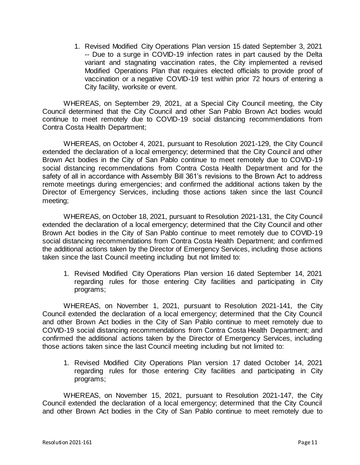1. Revised Modified City Operations Plan version 15 dated September 3, 2021 -- Due to a surge in COVID-19 infection rates in part caused by the Delta variant and stagnating vaccination rates, the City implemented a revised Modified Operations Plan that requires elected officials to provide proof of vaccination or a negative COVID-19 test within prior 72 hours of entering a City facility, worksite or event.

WHEREAS, on September 29, 2021, at a Special City Council meeting, the City Council determined that the City Council and other San Pablo Brown Act bodies would continue to meet remotely due to COVID-19 social distancing recommendations from Contra Costa Health Department;

WHEREAS, on October 4, 2021, pursuant to Resolution 2021-129, the City Council extended the declaration of a local emergency; determined that the City Council and other Brown Act bodies in the City of San Pablo continue to meet remotely due to COVID-19 social distancing recommendations from Contra Costa Health Department and for the safety of all in accordance with Assembly Bill 361's revisions to the Brown Act to address remote meetings during emergencies; and confirmed the additional actions taken by the Director of Emergency Services, including those actions taken since the last Council meeting;

WHEREAS, on October 18, 2021, pursuant to Resolution 2021-131, the City Council extended the declaration of a local emergency; determined that the City Council and other Brown Act bodies in the City of San Pablo continue to meet remotely due to COVID-19 social distancing recommendations from Contra Costa Health Department; and confirmed the additional actions taken by the Director of Emergency Services, including those actions taken since the last Council meeting including but not limited to:

1. Revised Modified City Operations Plan version 16 dated September 14, 2021 regarding rules for those entering City facilities and participating in City programs;

WHEREAS, on November 1, 2021, pursuant to Resolution 2021-141, the City Council extended the declaration of a local emergency; determined that the City Council and other Brown Act bodies in the City of San Pablo continue to meet remotely due to COVID-19 social distancing recommendations from Contra Costa Health Department; and confirmed the additional actions taken by the Director of Emergency Services, including those actions taken since the last Council meeting including but not limited to:

1. Revised Modified City Operations Plan version 17 dated October 14, 2021 regarding rules for those entering City facilities and participating in City programs;

WHEREAS, on November 15, 2021, pursuant to Resolution 2021-147, the City Council extended the declaration of a local emergency; determined that the City Council and other Brown Act bodies in the City of San Pablo continue to meet remotely due to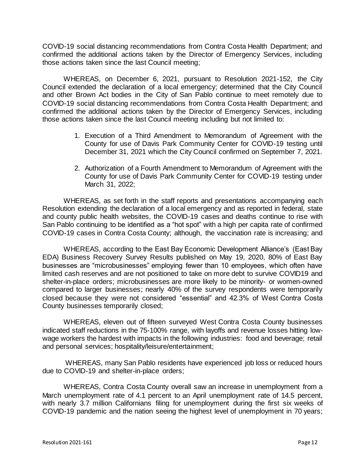COVID-19 social distancing recommendations from Contra Costa Health Department; and confirmed the additional actions taken by the Director of Emergency Services, including those actions taken since the last Council meeting;

WHEREAS, on December 6, 2021, pursuant to Resolution 2021-152, the City Council extended the declaration of a local emergency; determined that the City Council and other Brown Act bodies in the City of San Pablo continue to meet remotely due to COVID-19 social distancing recommendations from Contra Costa Health Department; and confirmed the additional actions taken by the Director of Emergency Services, including those actions taken since the last Council meeting including but not limited to:

- 1. Execution of a Third Amendment to Memorandum of Agreement with the County for use of Davis Park Community Center for COVID-19 testing until December 31, 2021 which the City Council confirmed on September 7, 2021.
- 2. Authorization of a Fourth Amendment to Memorandum of Agreement with the County for use of Davis Park Community Center for COVID-19 testing under March 31, 2022;

WHEREAS, as set forth in the staff reports and presentations accompanying each Resolution extending the declaration of a local emergency and as reported in federal, state and county public health websites, the COVID-19 cases and deaths continue to rise with San Pablo continuing to be identified as a "hot spot" with a high per capita rate of confirmed COVID-19 cases in Contra Costa County; although, the vaccination rate is increasing; and

WHEREAS, according to the East Bay Economic Development Alliance's (East Bay EDA) Business Recovery Survey Results published on May 19, 2020, 80% of East Bay businesses are "microbusinesses" employing fewer than 10 employees, which often have limited cash reserves and are not positioned to take on more debt to survive COVID19 and shelter-in-place orders; microbusinesses are more likely to be minority- or women-owned compared to larger businesses; nearly 40% of the survey respondents were temporarily closed because they were not considered "essential" and 42.3% of West Contra Costa County businesses temporarily closed;

WHEREAS, eleven out of fifteen surveyed West Contra Costa County businesses indicated staff reductions in the 75-100% range, with layoffs and revenue losses hitting lowwage workers the hardest with impacts in the following industries: food and beverage; retail and personal services; hospitality/leisure/entertainment;

WHEREAS, many San Pablo residents have experienced job loss or reduced hours due to COVID-19 and shelter-in-place orders;

WHEREAS, Contra Costa County overall saw an increase in unemployment from a March unemployment rate of 4.1 percent to an April unemployment rate of 14.5 percent, with nearly 3.7 million Californians filing for unemployment during the first six weeks of COVID-19 pandemic and the nation seeing the highest level of unemployment in 70 years;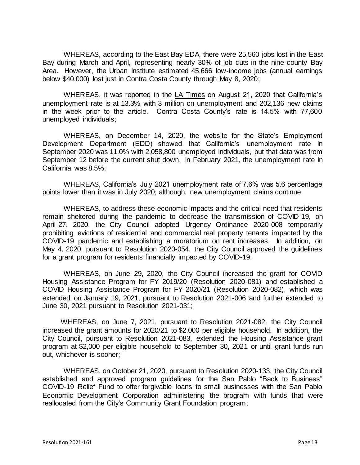WHEREAS, according to the East Bay EDA, there were 25,560 jobs lost in the East Bay during March and April, representing nearly 30% of job cuts in the nine-county Bay Area. However, the Urban Institute estimated 45,666 low-income jobs (annual earnings below \$40,000) lost just in Contra Costa County through May 8, 2020;

WHEREAS, it was reported in the LA Times on August 21, 2020 that California's unemployment rate is at 13.3% with 3 million on unemployment and 202,136 new claims in the week prior to the article. Contra Costa County's rate is 14.5% with 77,600 unemployed individuals;

WHEREAS, on December 14, 2020, the website for the State's Employment Development Department (EDD) showed that California's unemployment rate in September 2020 was 11.0% with 2,058,800 unemployed individuals, but that data was from September 12 before the current shut down. In February 2021, the unemployment rate in California was 8.5%;

WHEREAS, California's July 2021 unemployment rate of 7.6% was 5.6 percentage points lower than it was in July 2020; although, new unemployment claims continue

WHEREAS, to address these economic impacts and the critical need that residents remain sheltered during the pandemic to decrease the transmission of COVID-19, on April 27, 2020, the City Council adopted Urgency Ordinance 2020-008 temporarily prohibiting evictions of residential and commercial real property tenants impacted by the COVID-19 pandemic and establishing a moratorium on rent increases. In addition, on May 4, 2020, pursuant to Resolution 2020-054, the City Council approved the guidelines for a grant program for residents financially impacted by COVID-19;

WHEREAS, on June 29, 2020, the City Council increased the grant for COVID Housing Assistance Program for FY 2019/20 (Resolution 2020-081) and established a COVID Housing Assistance Program for FY 2020/21 (Resolution 2020-082), which was extended on January 19, 2021, pursuant to Resolution 2021-006 and further extended to June 30, 2021 pursuant to Resolution 2021-031;

WHEREAS, on June 7, 2021, pursuant to Resolution 2021-082, the City Council increased the grant amounts for 2020/21 to \$2,000 per eligible household. In addition, the City Council, pursuant to Resolution 2021-083, extended the Housing Assistance grant program at \$2,000 per eligible household to September 30, 2021 or until grant funds run out, whichever is sooner;

WHEREAS, on October 21, 2020, pursuant to Resolution 2020-133, the City Council established and approved program guidelines for the San Pablo "Back to Business" COVID-19 Relief Fund to offer forgivable loans to small businesses with the San Pablo Economic Development Corporation administering the program with funds that were reallocated from the City's Community Grant Foundation program;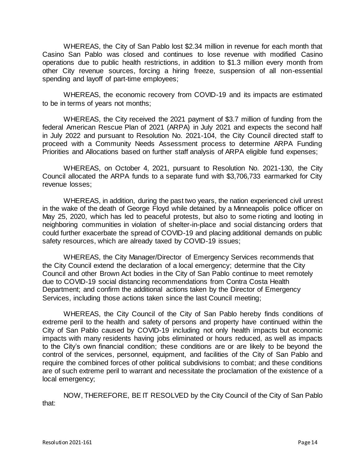WHEREAS, the City of San Pablo lost \$2.34 million in revenue for each month that Casino San Pablo was closed and continues to lose revenue with modified Casino operations due to public health restrictions, in addition to \$1.3 million every month from other City revenue sources, forcing a hiring freeze, suspension of all non-essential spending and layoff of part-time employees;

WHEREAS, the economic recovery from COVID-19 and its impacts are estimated to be in terms of years not months;

WHEREAS, the City received the 2021 payment of \$3.7 million of funding from the federal American Rescue Plan of 2021 (ARPA) in July 2021 and expects the second half in July 2022 and pursuant to Resolution No. 2021-104, the City Council directed staff to proceed with a Community Needs Assessment process to determine ARPA Funding Priorities and Allocations based on further staff analysis of ARPA eligible fund expenses;

WHEREAS, on October 4, 2021, pursuant to Resolution No. 2021-130, the City Council allocated the ARPA funds to a separate fund with \$3,706,733 earmarked for City revenue losses;

WHEREAS, in addition, during the past two years, the nation experienced civil unrest in the wake of the death of George Floyd while detained by a Minneapolis police officer on May 25, 2020, which has led to peaceful protests, but also to some rioting and looting in neighboring communities in violation of shelter-in-place and social distancing orders that could further exacerbate the spread of COVID-19 and placing additional demands on public safety resources, which are already taxed by COVID-19 issues;

WHEREAS, the City Manager/Director of Emergency Services recommends that the City Council extend the declaration of a local emergency; determine that the City Council and other Brown Act bodies in the City of San Pablo continue to meet remotely due to COVID-19 social distancing recommendations from Contra Costa Health Department; and confirm the additional actions taken by the Director of Emergency Services, including those actions taken since the last Council meeting;

WHEREAS, the City Council of the City of San Pablo hereby finds conditions of extreme peril to the health and safety of persons and property have continued within the City of San Pablo caused by COVID-19 including not only health impacts but economic impacts with many residents having jobs eliminated or hours reduced, as well as impacts to the City's own financial condition; these conditions are or are likely to be beyond the control of the services, personnel, equipment, and facilities of the City of San Pablo and require the combined forces of other political subdivisions to combat; and these conditions are of such extreme peril to warrant and necessitate the proclamation of the existence of a local emergency;

NOW, THEREFORE, BE IT RESOLVED by the City Council of the City of San Pablo that: